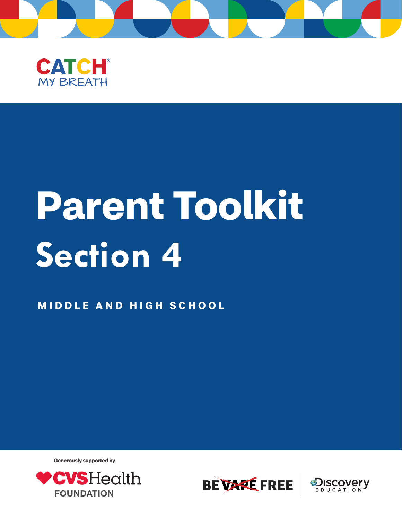



## **Parent Toolkit Section 4**

**MID D L E AND HI G H SCHOOL**

**Generously supported by**